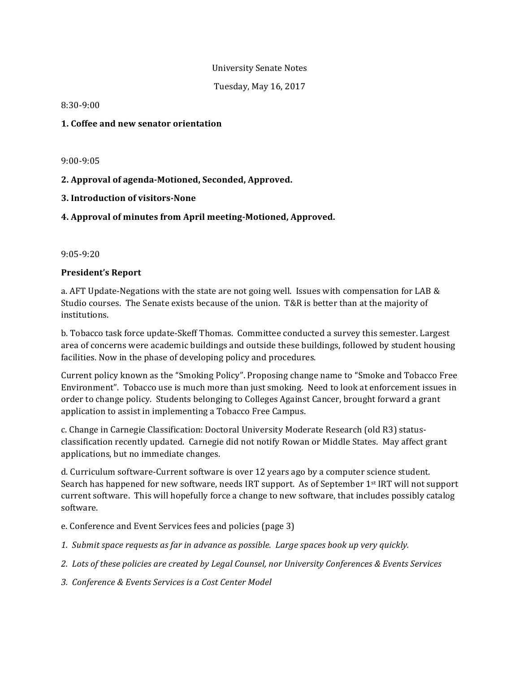### University Senate Notes

Tuesday, May 16, 2017

8:30-9:00 

## **1. Coffee and new senator orientation**

9:00-9:05 

# **2. Approval of agenda-Motioned, Seconded, Approved.**

**3. Introduction of visitors-None**

# **4. Approval of minutes from April meeting-Motioned, Approved.**

9:05-9:20 

### **President's Report**

a. AFT Update-Negations with the state are not going well. Issues with compensation for LAB & Studio courses. The Senate exists because of the union. T&R is better than at the majority of institutions. 

b. Tobacco task force update-Skeff Thomas. Committee conducted a survey this semester. Largest area of concerns were academic buildings and outside these buildings, followed by student housing facilities. Now in the phase of developing policy and procedures.

Current policy known as the "Smoking Policy". Proposing change name to "Smoke and Tobacco Free Environment". Tobacco use is much more than just smoking. Need to look at enforcement issues in order to change policy. Students belonging to Colleges Against Cancer, brought forward a grant application to assist in implementing a Tobacco Free Campus.

c. Change in Carnegie Classification: Doctoral University Moderate Research (old R3) statusclassification recently updated. Carnegie did not notify Rowan or Middle States. May affect grant applications, but no immediate changes.

d. Curriculum software-Current software is over 12 years ago by a computer science student. Search has happened for new software, needs IRT support. As of September 1<sup>st</sup> IRT will not support current software. This will hopefully force a change to new software, that includes possibly catalog software.

- e. Conference and Event Services fees and policies (page 3)
- 1. Submit space requests as far in advance as possible. Large spaces book up very quickly.
- 2. Lots of these policies are created by Legal Counsel, nor University Conferences & Events Services
- *3. Conference & Events Services is a Cost Center Model*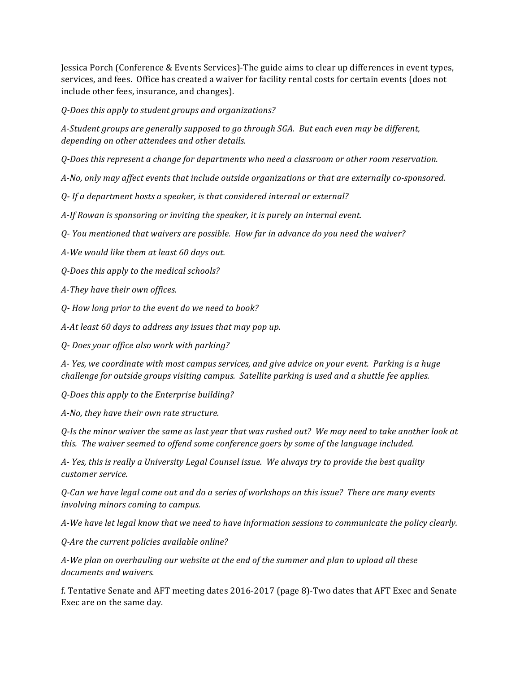Jessica Porch (Conference & Events Services)-The guide aims to clear up differences in event types, services, and fees. Office has created a waiver for facility rental costs for certain events (does not include other fees, insurance, and changes).

*Q-Does this apply to student groups and organizations?*

A-Student groups are generally supposed to go through SGA. But each even may be different, depending on other attendees and other details.

*Q-Does* this represent a change for departments who need a classroom or other room reservation.

A-No, only may affect events that include outside organizations or that are externally co-sponsored.

*Q- If a department hosts a speaker, is that considered internal or external?*

A-If Rowan is sponsoring or inviting the speaker, it is purely an internal event.

*Q- You mentioned that waivers are possible. How far in advance do you need the waiver?*

A-We would like them at least 60 days out.

*Q-Does this apply to the medical schools?*

*A-They have their own offices.* 

*Q- How long prior to the event do we need to book?*

A-At least 60 days to address any issues that may pop up.

*Q- Does your office also work with parking?*

A- Yes, we coordinate with most campus services, and give advice on your event. Parking is a huge *challenge for outside groups visiting campus. Satellite parking is used and a shuttle fee applies.* 

*Q-Does this apply to the Enterprise building?*

*A-No, they have their own rate structure.* 

*Q-Is* the minor waiver the same as last year that was rushed out? We may need to take another look at *this. The waiver seemed to offend some conference goers by some of the language included.* 

A- Yes, this is really a University Legal Counsel issue. We always try to provide the best quality *customer service.*

*Q-Can we have legal come out and do a series of workshops on this issue? There are many events involving minors coming to campus.* 

A-We have let legal know that we need to have information sessions to communicate the policy clearly.

*Q-Are the current policies available online?* 

A-We plan on overhauling our website at the end of the summer and plan to upload all these documents and waivers.

f. Tentative Senate and AFT meeting dates 2016-2017 (page 8)-Two dates that AFT Exec and Senate Exec are on the same day.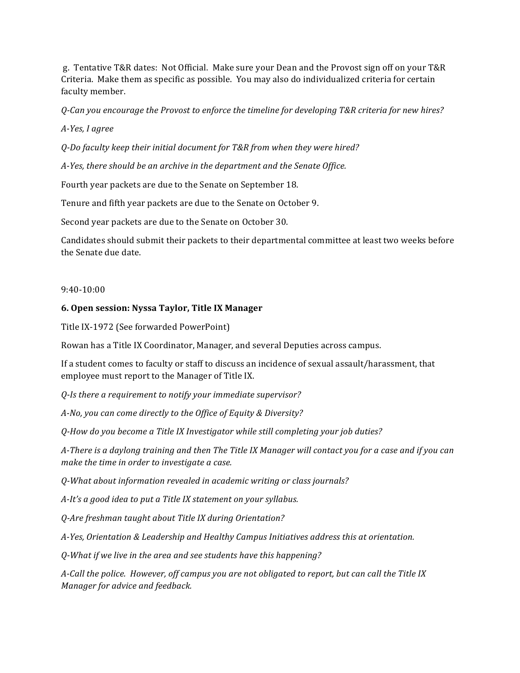g. Tentative T&R dates: Not Official. Make sure your Dean and the Provost sign off on your T&R Criteria. Make them as specific as possible. You may also do individualized criteria for certain faculty member.

*Q-Can you encourage the Provost to enforce the timeline for developing T&R criteria for new hires?*

*A-Yes, I agree*

*Q-Do faculty keep their initial document for T&R from when they were hired?*

*A-Yes, there should be an archive in the department and the Senate Office.* 

Fourth year packets are due to the Senate on September 18.

Tenure and fifth year packets are due to the Senate on October 9.

Second year packets are due to the Senate on October 30.

Candidates should submit their packets to their departmental committee at least two weeks before the Senate due date.

### 9:40-10:00

### **6. Open session: Nyssa Taylor, Title IX Manager**

Title IX-1972 (See forwarded PowerPoint)

Rowan has a Title IX Coordinator, Manager, and several Deputies across campus.

If a student comes to faculty or staff to discuss an incidence of sexual assault/harassment, that employee must report to the Manager of Title IX.

*Q-Is* there a requirement to notify your immediate supervisor?

A-No, you can come directly to the Office of Equity & Diversity?

*Q-How do you become a Title IX Investigator while still completing your job duties?*

A-There is a daylong training and then The Title IX Manager will contact you for a case and if you can *make the time in order to investigate a case.* 

*Q-What about information revealed in academic writing or class journals?*

A-It's a good idea to put a Title IX statement on your syllabus.

*Q-Are freshman taught about Title IX during Orientation?*

A-Yes, Orientation & Leadership and Healthy Campus Initiatives address this at orientation.

*Q-What if we live in the area and see students have this happening?*

A-Call the police. However, off campus you are not obligated to report, but can call the Title IX *Manager for advice and feedback.*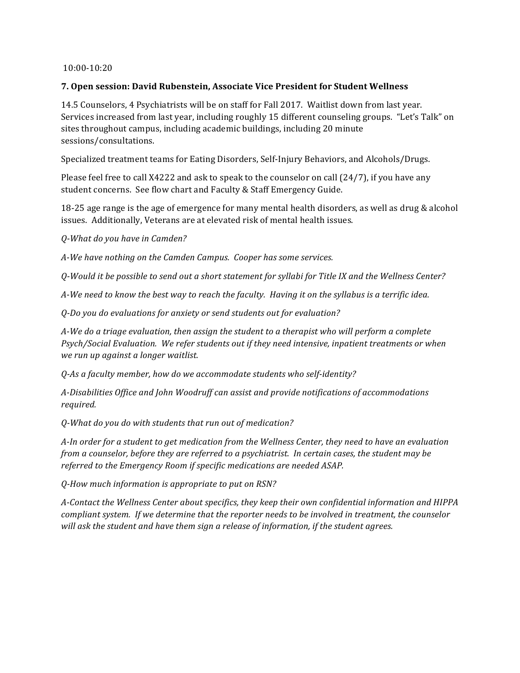## 10:00-10:20

## **7. Open session: David Rubenstein, Associate Vice President for Student Wellness**

14.5 Counselors, 4 Psychiatrists will be on staff for Fall 2017. Waitlist down from last year. Services increased from last year, including roughly 15 different counseling groups. "Let's Talk" on sites throughout campus, including academic buildings, including 20 minute sessions/consultations. 

Specialized treatment teams for Eating Disorders, Self-Injury Behaviors, and Alcohols/Drugs.

Please feel free to call X4222 and ask to speak to the counselor on call  $(24/7)$ , if you have any student concerns. See flow chart and Faculty & Staff Emergency Guide.

18-25 age range is the age of emergence for many mental health disorders, as well as drug & alcohol issues. Additionally, Veterans are at elevated risk of mental health issues.

*Q-What do you have in Camden?*

A-We have nothing on the Camden Campus. Cooper has some services.

*Q-Would it be possible to send out a short statement for syllabi for Title IX and the Wellness Center?*

A-We need to know the best way to reach the faculty. Having it on the syllabus is a terrific idea.

*Q-Do you do evaluations for anxiety or send students out for evaluation?*

A-We do a triage evaluation, then assign the student to a therapist who will perform a complete *Psych/Social Evaluation.* We refer students out if they need intensive, inpatient treatments or when *we run up against a longer waitlist.*

*Q-As a faculty member, how do we accommodate students who self-identity?*

A-Disabilities Office and John Woodruff can assist and provide notifications of accommodations *required.*

*Q-What do you do with students that run out of medication?*

*A-In* order for a student to get medication from the Wellness Center, they need to have an evaluation *from a counselor, before they are referred to a psychiatrist. In certain cases, the student may be* referred to the Emergency Room if specific medications are needed ASAP.

*Q-How much information is appropriate to put on RSN?*

A-Contact the Wellness Center about specifics, they keep their own confidential information and HIPPA *compliant system.* If we determine that the reporter needs to be involved in treatment, the counselor will ask the student and have them sign a release of information, if the student agrees.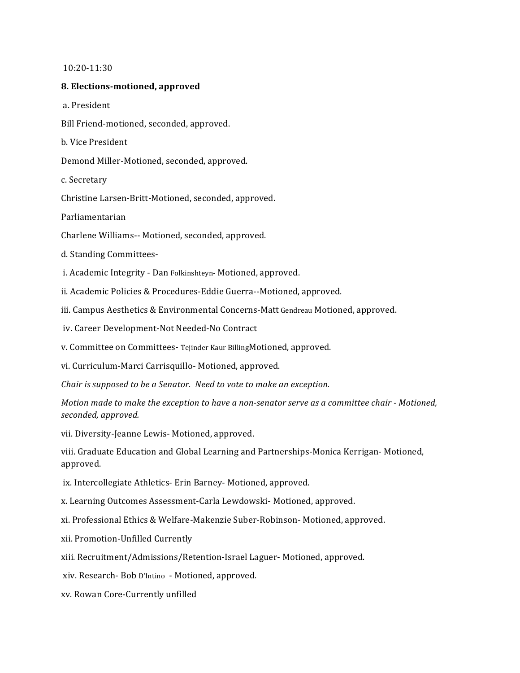#### 10:20-11:30

#### **8. Elections-motioned, approved**

a. President 

Bill Friend-motioned, seconded, approved.

b. Vice President

Demond Miller-Motioned, seconded, approved.

c. Secretary 

Christine Larsen-Britt-Motioned, seconded, approved.

Parliamentarian

Charlene Williams-- Motioned, seconded, approved.

d. Standing Committees-

i. Academic Integrity - Dan Folkinshteyn- Motioned, approved.

ii. Academic Policies & Procedures-Eddie Guerra--Motioned, approved.

iii. Campus Aesthetics & Environmental Concerns-Matt Gendreau Motioned, approved.

iv. Career Development-Not Needed-No Contract

v. Committee on Committees- Tejinder Kaur BillingMotioned, approved.

vi. Curriculum-Marci Carrisquillo- Motioned, approved.

*Chair is supposed to be a Senator. Need to vote to make an exception.* 

*Motion* made to make the exception to have a non-senator serve as a committee chair - Motioned, *seconded, approved.*

vii. Diversity-Jeanne Lewis- Motioned, approved.

viii. Graduate Education and Global Learning and Partnerships-Monica Kerrigan- Motioned, approved.

ix. Intercollegiate Athletics- Erin Barney- Motioned, approved.

x. Learning Outcomes Assessment-Carla Lewdowski- Motioned, approved.

xi. Professional Ethics & Welfare-Makenzie Suber-Robinson- Motioned, approved.

xii. Promotion-Unfilled Currently 

xiii. Recruitment/Admissions/Retention-Israel Laguer- Motioned, approved.

xiv. Research- Bob D'Intino - Motioned, approved.

xv. Rowan Core-Currently unfilled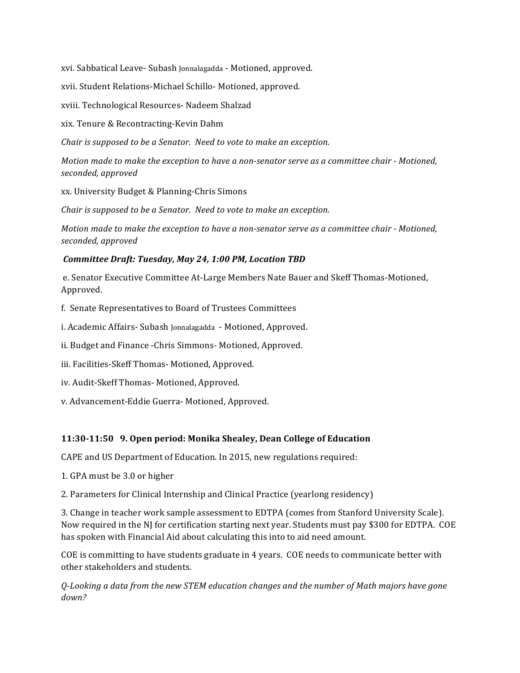xvi. Sabbatical Leave- Subash Jonnalagadda - Motioned, approved.

xvii. Student Relations-Michael Schillo- Motioned, approved.

xviii. Technological Resources- Nadeem Shalzad

xix. Tenure & Recontracting-Kevin Dahm

*Chair is supposed to be a Senator.* Need to vote to make an exception.

*Motion* made to make the exception to have a non-senator serve as a committee chair - Motioned, *seconded, approved*

xx. University Budget & Planning-Chris Simons

*Chair is supposed to be a Senator.* Need to vote to make an exception.

*Motion* made to make the exception to have a non-senator serve as a committee chair - Motioned, *seconded, approved*

## *Committee Draft: Tuesday, May 24, 1:00 PM, Location TBD*

e. Senator Executive Committee At-Large Members Nate Bauer and Skeff Thomas-Motioned, Approved.

f. Senate Representatives to Board of Trustees Committees

i. Academic Affairs- Subash Jonnalagadda - Motioned, Approved.

ii. Budget and Finance -Chris Simmons- Motioned, Approved.

iii. Facilities-Skeff Thomas- Motioned, Approved.

iv. Audit-Skeff Thomas- Motioned, Approved.

v. Advancement-Eddie Guerra- Motioned, Approved.

# **11:30-11:50 9. Open period: Monika Shealey, Dean College of Education**

CAPE and US Department of Education. In 2015, new regulations required:

1. GPA must be 3.0 or higher

2. Parameters for Clinical Internship and Clinical Practice (yearlong residency)

3. Change in teacher work sample assessment to EDTPA (comes from Stanford University Scale). Now required in the NJ for certification starting next year. Students must pay \$300 for EDTPA. COE has spoken with Financial Aid about calculating this into to aid need amount.

COE is committing to have students graduate in 4 years. COE needs to communicate better with other stakeholders and students.

*Q-Looking a data from the new STEM education changes and the number of Math majors have gone down?*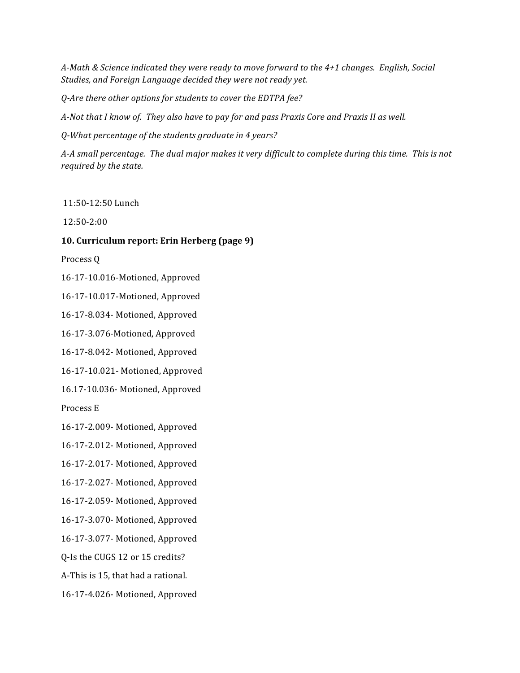A-Math & Science indicated they were ready to move forward to the 4+1 changes. English, Social Studies, and Foreign Language decided they were not ready yet.

*Q-Are there other options for students to cover the EDTPA fee?*

A-Not that I know of. They also have to pay for and pass Praxis Core and Praxis II as well.

*Q-What percentage of the students graduate in 4 years?*

A-A small percentage. The dual major makes it very difficult to complete during this time. This is not *required by the state.* 

11:50-12:50 Lunch 

12:50-2:00 

### **10. Curriculum report: Erin Herberg (page 9)**

Process O

16-17-10.016-Motioned, Approved

16-17-10.017-Motioned, Approved

16-17-8.034- Motioned, Approved

16-17-3.076-Motioned, Approved

16-17-8.042- Motioned, Approved

16-17-10.021- Motioned, Approved

16.17-10.036- Motioned, Approved

Process E

16-17-2.009- Motioned, Approved

16-17-2.012- Motioned, Approved

16-17-2.017- Motioned, Approved

16-17-2.027- Motioned, Approved

16-17-2.059- Motioned, Approved

16-17-3.070- Motioned, Approved

16-17-3.077- Motioned, Approved

Q-Is the CUGS 12 or 15 credits?

A-This is 15, that had a rational.

16-17-4.026- Motioned, Approved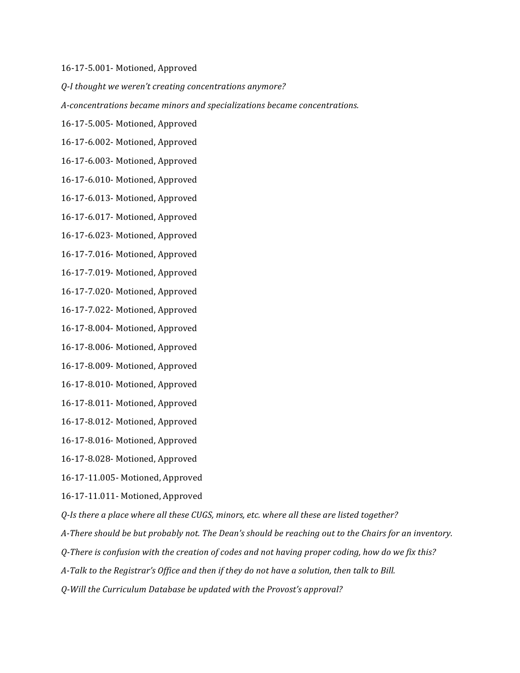#### 16-17-5.001- Motioned, Approved

*Q-I thought we weren't creating concentrations anymore?*

*A-concentrations became minors and specializations became concentrations.*

- 16-17-5.005- Motioned, Approved
- 16-17-6.002- Motioned, Approved
- 16-17-6.003- Motioned, Approved
- 16-17-6.010- Motioned, Approved
- 16-17-6.013- Motioned, Approved
- 16-17-6.017- Motioned, Approved
- 16-17-6.023- Motioned, Approved
- 16-17-7.016- Motioned, Approved
- 16-17-7.019- Motioned, Approved
- 16-17-7.020- Motioned, Approved
- 16-17-7.022- Motioned, Approved
- 16-17-8.004- Motioned, Approved
- 16-17-8.006- Motioned, Approved
- 16-17-8.009- Motioned, Approved
- 16-17-8.010- Motioned, Approved
- 16-17-8.011- Motioned, Approved
- 16-17-8.012- Motioned, Approved
- 16-17-8.016- Motioned, Approved
- 16-17-8.028- Motioned, Approved
- 16-17-11.005- Motioned, Approved
- 16-17-11.011- Motioned, Approved
- *Q-Is* there a place where all these CUGS, minors, etc. where all these are listed together?
- *A-There should be but probably not. The Dean's should be reaching out to the Chairs for an inventory.*
- *Q-There* is confusion with the creation of codes and not having proper coding, how do we fix this?
- *A-Talk to the Registrar's Office and then if they do not have a solution, then talk to Bill.*
- *Q-Will the Curriculum Database be updated with the Provost's approval?*